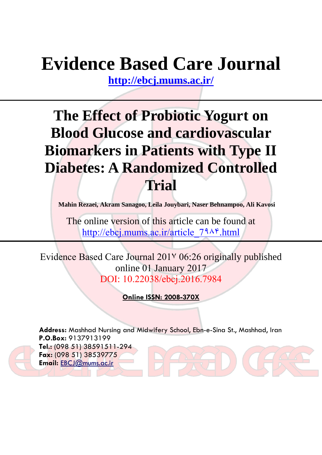# **Evidence Based Care Journal**

**<http://ebcj.mums.ac.ir/>**

## **The Effect of Probiotic Yogurt on Blood Glucose and cardiovascular Biomarkers in Patients with Type II Diabetes: A Randomized Controlled Trial**

**Mahin Rezaei, Akram Sanagoo, Leila Jouybari, Naser Behnampoo, Ali Kavosi**

The online version of this article can be found at http://ebcj.mums.ac.ir/article  $79\lambda$ <sup>e</sup>.html

Evidence Based Care Journal 2017 06:26 originally published online 01 January 2017 DOI: [10.22038/ebcj.2016.7984](http://dx.doi.org/10.22038/ebcj.2016.7984)

**Online ISSN: 2008-370X**

**Address:** Mashhad Nursing and Midwifery School, Ebn-e-Sina St., Mashhad, Iran **P.O.Box:** 9137913199 **Tel.:** (098 51) 38591511-294 **Fax:** (098 51) 38539775 **Email:** [EBCJ@mums.ac.ir](mailto:EBCJ@mums.ac.ir)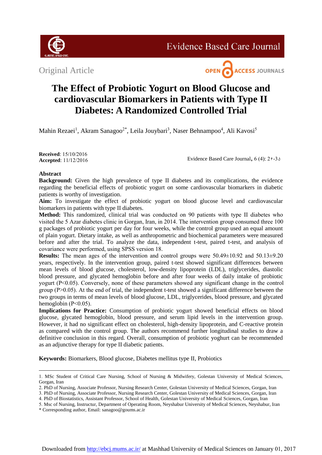

Original Article



### **The Effect of Probiotic Yogurt on Blood Glucose and cardiovascular Biomarkers in Patients with Type II Diabetes: A Randomized Controlled Trial**

Mahin Rezaei<sup>1</sup>, Akram Sanagoo<sup>2\*</sup>, Leila Jouybari<sup>3</sup>, Naser Behnampoo<sup>4</sup>, Ali Kavosi<sup>5</sup>

**Received**: 15/10/2016 **Accepted**: 11/12/2016

Evidence Based Care Journal,  $6(4)$ :  $29-36$ 

#### **Abstract**

**Background:** Given the high prevalence of type II diabetes and its complications, the evidence regarding the beneficial effects of probiotic yogurt on some cardiovascular biomarkers in diabetic patients is worthy of investigation.

**Aim:** To investigate the effect of probiotic yogurt on blood glucose level and cardiovascular biomarkers in patients with type II diabetes.

**Method:** This randomized, clinical trial was conducted on 90 patients with type II diabetes who visited the 5 Azar diabetes clinic in Gorgan, Iran, in 2014. The intervention group consumed three 100 g packages of probiotic yogurt per day for four weeks, while the control group used an equal amount of plain yogurt. Dietary intake, as well as anthropometric and biochemical parameters were measured before and after the trial. To analyze the data, independent t-test, paired t-test, and analysis of covariance were performed, using SPSS version 18.

**Results:** The mean ages of the intervention and control groups were 50.49±10.92 and 50.13±9.20 years, respectively. In the intervention group, paired t-test showed significant differences between mean levels of blood glucose, cholesterol, low-density lipoprotein (LDL), triglycerides, diastolic blood pressure, and glycated hemoglobin before and after four weeks of daily intake of probiotic yogurt (P<0.05). Conversely, none of these parameters showed any significant change in the control group (P>0.05). At the end of trial, the independent t-test showed a significant difference between the two groups in terms of mean levels of blood glucose, LDL, triglycerides, blood pressure, and glycated hemoglobin (P<0.05).

**Implications for Practice:** Consumption of probiotic yogurt showed beneficial effects on blood glucose, glycated hemoglobin, blood pressure, and serum lipid levels in the intervention group. However, it had no significant effect on cholesterol, high-density lipoprotein, and C-reactive protein as compared with the control group. The authors recommend further longitudinal studies to draw a definitive conclusion in this regard. Overall, consumption of probiotic yoghurt can be recommended as an adjunctive therapy for type II diabetic patients.

**Keywords:** Biomarkers, Blood glucose, Diabetes mellitus type II, Probiotics

<sup>1.</sup> MSc Student of Critical Care Nursing, School of Nursing & Midwifery, Golestan University of Medical Sciences, Gorgan, Iran

<sup>2.</sup> PhD of Nursing, Associate Professor, Nursing Research Center, Golestan University of Medical Sciences, Gorgan, Iran

<sup>3.</sup> PhD of Nursing, Associate Professor, Nursing Research Center, Golestan University of Medical Sciences, Gorgan, Iran

<sup>4.</sup> PhD of Biostatistics, Assistant Professor, School of Health, Golestan University of Medical Sciences, Gorgan, Iran

<sup>5.</sup> Msc of Nursing, Instructur, Department of Operating Room, Neyshabur University of Medical Sciences, Neyshabur, Iran

<sup>\*</sup> Corresponding author, Email: [sanagoo@goums.ac.ir](mailto:sanagoo@goums.ac.ir)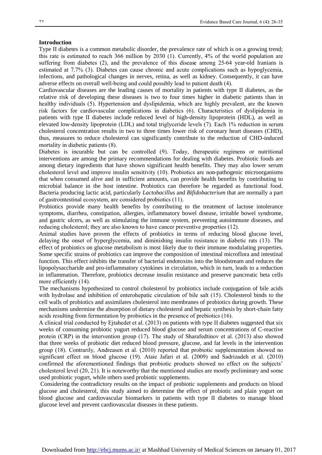#### **Introduction**

Type II diabetes is a common metabolic disorder, the prevalence rate of which is on a growing trend; this rate is estimated to reach 366 million by 2030 (1). Currently, 4% of the world population are suffering from diabetes (2), and the prevalence of this disease among 25-64 year-old Iranians is estimated at 7.7% (3). Diabetes can cause chronic and acute complications such as hypoglycemia, infections, and pathological changes in nerves, retina, as well as kidney. Consequently, it can have adverse effects on overall well-being and could possibly lead to patient death (4).

Cardiovascular diseases are the leading causes of mortality in patients with type II diabetes, as the relative risk of developing these diseases is two to four times higher in diabetic patients than in healthy individuals (5). Hypertension and dyslipidemia, which are highly prevalent, are the known risk factors for cardiovascular complications in diabetics (6). Characteristics of dyslipidemia in patients with type II diabetes include reduced level of high-density lipoprotein (HDL), as well as elevated low-density lipoprotein (LDL) and total triglyceride levels (7). Each 1% reduction in serum cholesterol concentration results in two to three times lower risk of coronary heart diseases (CHD), thus, measures to reduce cholesterol can significantly contribute to the reduction of CHD-induced mortality in diabetic patients (8).

Diabetes is incurable but can be controlled (9). Today, therapeutic regimens or nutritional interventions are among the primary recommendations for dealing with diabetes. Probiotic foods are among dietary ingredients that have shown significant health benefits. They may also lower serum cholesterol level and improve insulin sensitivity (10). Probiotics are non-pathogenic microorganisms that when consumed alive and in sufficient amounts, can provide health benefits by contributing to microbial balance in the host intestine. Probiotics can therefore be regarded as functional food. Bacteria producing lactic acid, particularly *Lactobacillus* and *Bifidobacterium* that are normally a part of gastrointestinal ecosystem, are considered probiotics (11).

Probiotics provide many health benefits by contributing to the treatment of lactose intolerance symptoms, diarrhea, constipation, allergies, inflammatory bowel disease, irritable bowel syndrome, and gastric ulcers, as well as stimulating the immune system, preventing autoimmune diseases, and reducing cholesterol; they are also known to have cancer preventive properties (12).

Animal studies have proven the effects of probiotics in terms of reducing blood glucose level, delaying the onset of hyperglycemia, and diminishing insulin resistance in diabetic rats (13). The effect of probiotics on glucose metabolism is most likely due to their immune modulating properties. Some specific strains of probiotics can improve the composition of intestinal microflora and intestinal function. This effect inhibits the transfer of bacterial endotoxins into the bloodstream and reduces the lipopolysaccharide and pro-inflammatory cytokines in circulation, which in turn, leads to a reduction in inflammation. Therefore, probiotics decrease insulin resistance and preserve pancreatic beta cells more efficiently (14).

The mechanisms hypothesized to control cholesterol by probiotics include conjugation of bile acids with hydrolase and inhibition of enterohepatic circulation of bile salt (15). Cholesterol binds to the cell walls of probiotics and assimilates cholesterol into membranes of probiotics during growth. These mechanisms undermine the absorption of dietary cholesterol and hepatic synthesis by short-chain fatty acids resulting from fermentation by probiotics in the presence of prebiotics (16).

A clinical trial conducted by Ejtahedet et al. (2013) on patients with type II diabetes suggested that six weeks of consuming probiotic yogurt reduced blood glucose and serum concentrations of C-reactive protein (CRP) in the intervention group (17). The study of Sharafedtinov et al. (2013) also showed that three weeks of probiotic diet reduced blood pressure, glucose, and fat levels in the intervention group (18). Contrarily, Andreasen et al. (2010) reported that probiotic supplementation showed no significant effect on blood glucose (19). Ataie Jafari et al. (2009) and Sadrizadeh et al. (2010) confirmed the aforementioned findings that probiotic products showed no effect on the subjects' cholesterol level (20, 21). It is noteworthy that the mentioned studies are mostly preliminary and some used probiotic yogurt, while others used probiotic supplements.

Considering the contradictory results on the impact of probiotic supplements and products on blood glucose and cholesterol, this study aimed to determine the effect of probiotic and plain yogurt on blood glucose and cardiovascular biomarkers in patients with type II diabetes to manage blood glucose level and prevent cardiovascular diseases in these patients.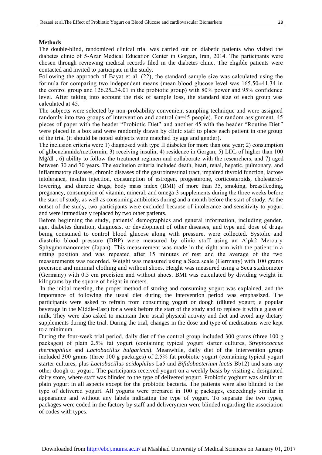#### **Methods**

I

The double-blind, randomized clinical trial was carried out on diabetic patients who visited the diabetes clinic of 5-Azar Medical Education Center in Gorgan, Iran, 2014. The participants were chosen through reviewing medical records filed in the diabetes clinic. The eligible patients were contacted and invited to participate in the study.

Following the approach of Bayat et al. (22), the standard sample size was calculated using the formula for comparing two independent means (mean blood glucose level was 165.50±41.34 in the control group and 126.25±34.01 in the probiotic group) with 80% power and 95% confidence level. After taking into account the risk of sample loss, the standard size of each group was calculated at 45.

The subjects were selected by non-probability convenient sampling technique and were assigned randomly into two groups of intervention and control (n=45 people). For random assignment, 45 pieces of paper with the header "Probiotic Diet" and another 45 with the header "Routine Diet*"* were placed in a box and were randomly drawn by clinic staff to place each patient in one group of the trial (it should be noted subjects were matched by age and gender).

The inclusion criteria were 1) diagnosed with type II diabetes for more than one year; 2) consumption of glibenclamide/metformin; 3) receiving insulin; 4) residence in Gorgan; 5) LDL of higher than 100 Mg/dl ; 6) ability to follow the treatment regimen and collaborate with the researchers, and 7) aged between 30 and 70 years. The exclusion criteria included death, heart, renal, hepatic, pulmonary, and inflammatory diseases, chronic diseases of the gastrointestinal tract, impaired thyroid function, lactose intolerance, insulin injection, consumption of estrogen, progesterone, corticosteroids, cholesterollowering, and diuretic drugs, body mass index (BMI) of more than 35, smoking, breastfeeding, pregnancy, consumption of vitamin, mineral, and omega-3 supplements during the three weeks before the start of study, as well as consuming antibiotics during and a month before the start of study. At the outset of the study, two participants were excluded because of intolerance and sensitivity to yogurt and were immediately replaced by two other patients.

Before beginning the study, patients' demographics and general information, including gender, age, diabetes duration, diagnosis, or development of other diseases, and type and dose of drugs being consumed to control blood glucose along with pressure, were collected. Systolic and diastolic blood pressure (DBP) were measured by clinic staff using an Alpk2 Mercury Sphygmomanometer (Japan). This measurement was made in the right arm with the patient in a sitting position and was repeated after 15 minutes of rest and the average of the two measurements was recorded. Weight was measured using a Seca scale (Germany) with 100 grams precision and minimal clothing and without shoes. Height was measured using a Seca stadiometer (Germany) with 0.5 cm precision and without shoes. BMI was calculated by dividing weight in kilograms by the square of height in meters.

In the initial meeting, the proper method of storing and consuming yogurt was explained, and the importance of following the usual diet during the intervention period was emphasized. The participants were asked to refrain from consuming yogurt or doogh (diluted yogurt; a popular beverage in the Middle-East) for a week before the start of the study and to replace it with a glass of milk. They were also asked to maintain their usual physical activity and diet and avoid any dietary supplements during the trial. During the trial, changes in the dose and type of medications were kept to a minimum.

During the four-week trial period, daily diet of the control group included 300 grams (three 100 g packages) of plain 2.5% fat yogurt (containing typical yogurt starter cultures, *Streptococcus thermophilus* and *Lactobacillus bulgaricus*). Meanwhile, daily diet of the intervention group included 300 grams (three 100 g packages) of 2.5% fat probiotic yogurt (containing typical yogurt starter cultures, plus *Lactobacillus acidophilus* La5 and *Bifidobacterium lactis* Bb12) and sans any other doogh or yogurt. The participants received yogurt on a weekly basis by visiting a designated dairy store, where staff was blinded to the type of delivered yogurt. Probiotic yoghurt was similar to plain yogurt in all aspects except for the probiotic bacteria. The patients were also blinded to the type of delivered yogurt. All yogurts were prepared in 100 g packages, exceedingly similar in appearance and without any labels indicating the type of yogurt. To separate the two types, packages were coded in the factory by staff and deliverymen were blinded regarding the association of codes with types.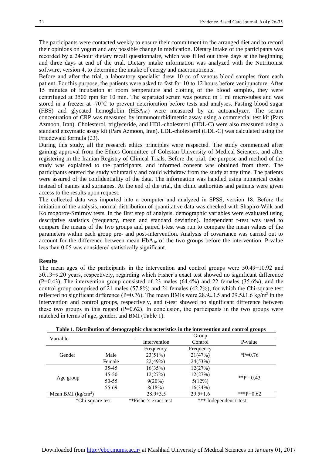The participants were contacted weekly to ensure their commitment to the arranged diet and to record their opinions on yogurt and any possible change in medication. Dietary intake of the participants was recorded by a 24-hour dietary recall questionnaire, which was filled out three days at the beginning and three days at end of the trial. Dietary intake information was analyzed with the Nutritionist software, version 4, to determine the intake of energy and macronutrients.

Before and after the trial, a laboratory specialist drew 10 cc of venous blood samples from each patient. For this purpose, the patients were asked to fast for 10 to 12 hours before venipuncture. After 15 minutes of incubation at room temperature and clotting of the blood samples, they were centrifuged at 3500 rpm for 10 min. The separated serum was poured in 1 ml micro-tubes and was stored in a freezer at -70°C to prevent deterioration before tests and analyses. Fasting blood sugar (FBS) and glycated hemoglobin (HBA1C) were measured by an autoanalyzer. The serum concentration of CRP was measured by immunoturbidimetric assay using a commercial test kit (Pars Azmoon, Iran). Cholesterol, triglyceride, and HDL-cholesterol (HDL-C) were also measured using a standard enzymatic assay kit (Pars Azmoon, Iran). LDL-cholesterol (LDL-C) was calculated using the Friedewald formula (23).

During this study, all the research ethics principles were respected. The study commenced after gaining approval from the Ethics Committee of Golestan University of Medical Sciences, and after registering in the Iranian Registry of Clinical Trials. Before the trial, the purpose and method of the study was explained to the participants, and informed consent was obtained from them. The participants entered the study voluntarily and could withdraw from the study at any time. The patients were assured of the confidentiality of the data. The information was handled using numerical codes instead of names and surnames. At the end of the trial, the clinic authorities and patients were given access to the results upon request.

The collected data was imported into a computer and analyzed in SPSS, version 18. Before the initiation of the analysis, normal distribution of quantitative data was checked with Shapiro-Wilk and Kolmogorov-Smirnov tests. In the first step of analysis, demographic variables were evaluated using descriptive statistics (frequency, mean and standard deviation). Independent t-test was used to compare the means of the two groups and paired t-test was run to compare the mean values of the parameters within each group pre- and post-intervention. Analysis of covariance was carried out to account for the difference between mean  $HbA_{1c}$  of the two groups before the intervention. P-value less than 0.05 was considered statistically significant.

#### **Results**

The mean ages of the participants in the intervention and control groups were 50.49±10.92 and 50.13±9.20 years, respectively, regarding which Fisher's exact test showed no significant difference  $(P=0.43)$ . The intervention group consisted of 23 males  $(64.4\%)$  and 22 females  $(35.6\%)$ , and the control group comprised of 21 males (57.8%) and 24 females (42.2%), for which the Chi-square test reflected no significant difference ( $P=0.76$ ). The mean BMIs were 28.9 $\pm$ 3.5 and 29.5 $\pm$ 1.6 kg/m<sup>2</sup> in the intervention and control groups, respectively, and t-test showed no significant difference between these two groups in this regard  $(P=0.62)$ . In conclusion, the participants in the two groups were matched in terms of age, gender, and BMI (Table 1).

|                     |           |                       |                        | ີ           |  |
|---------------------|-----------|-----------------------|------------------------|-------------|--|
| Variable            |           | Group                 |                        |             |  |
|                     |           | Intervention          | Control                | P-value     |  |
|                     |           | Frequency             | Frequency              |             |  |
| Gender              | Male      | 23(51%)               | 21(47%)                | $*P=0.76$   |  |
|                     | Female    | 22(49%)               | 24(53%)                |             |  |
| Age group           | 35-45     | 16(35%)               | 12(27%)                |             |  |
|                     | $45 - 50$ | 12(27%)               | 12(27%)                | **P= $0.43$ |  |
|                     | 50-55     | $9(20\%)$             | 5(12%)                 |             |  |
|                     | 55-69     | 8(18%)                | 16(34%)                |             |  |
| Mean BMI $(kg/cm2)$ |           | $28.9 \pm 3.5$        | $29.5 \pm 1.6$         | ***P=0.62   |  |
| *Chi-square test    |           | **Fisher's exact test | *** Independent t-test |             |  |

| Table 1. Distribution of demographic characteristics in the intervention and control groups |  |
|---------------------------------------------------------------------------------------------|--|
|                                                                                             |  |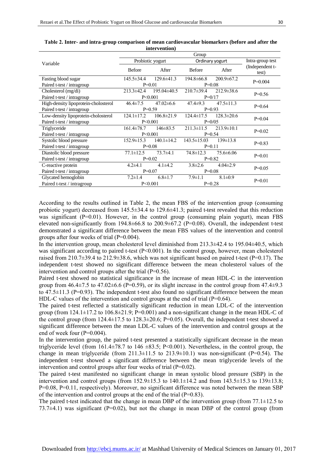I

|                                      | Group            |                  |                   |                  |                          |  |
|--------------------------------------|------------------|------------------|-------------------|------------------|--------------------------|--|
| Variable                             | Probiotic yogurt |                  | Ordinary yogurt   |                  | Intra-group test         |  |
|                                      | <b>Before</b>    | After            | <b>Before</b>     | After            | (Independent t-<br>test) |  |
| Fasting blood sugar                  | $145.5 \pm 34.4$ | $129.6 \pm 41.3$ | $194.8 \pm 66.8$  | $200.9 \pm 67.2$ | $P=0.004$                |  |
| Paired t-test / intragroup           | $P=0.01$         |                  | $P=0.08$          |                  |                          |  |
| Cholesterol (mg/di)                  | $213.3 \pm 42.4$ | $195.04\pm40.5$  | $210.7 \pm 39.4$  | $212.9 \pm 38.6$ | $P=0.56$                 |  |
| Paired t-test / intragroup           | P<0.001          |                  | $P=0/17$          |                  |                          |  |
| High-density lipoprotein-cholosterol | $46.4 \pm 7.5$   | $47.02\pm6.6$    | $47.4 \pm 9.3$    | $47.5 \pm 11.3$  | $P=0.64$                 |  |
| Paired t-test / intragroup           | $P=0.59$         |                  | $P=0.93$          |                  |                          |  |
| Low-density lipoprotein-cholosterol  | $124.1 \pm 17.2$ | $106.8 \pm 21.9$ | $124.4 \pm 17.5$  | $128.3 \pm 20.6$ | $P=0.04$                 |  |
| Paired t-test / intragroup           | P<0.001          |                  | $P=0/05$          |                  |                          |  |
| Triglyceride                         | $161.4\pm 78.7$  | $146 \pm 83.5$   | $211.3 \pm 11.5$  | $213.9 \pm 10.1$ | $P=0.02$                 |  |
| Paired t-test / intragroup           | P<0.001          |                  | $P=0.54$          |                  |                          |  |
| Systolic blood pressure              | $152.9 \pm 15.3$ | $140.1 \pm 14.2$ | $143.5 \pm 15.03$ | $139 \pm 13.8$   | $P=0.83$                 |  |
| Paired t-test / intragroup           | $P=0.08$         |                  | $P=0.11$          |                  |                          |  |
| Diastolic blood pressure             | $77.1 \pm 12.5$  | $73.7 + 4.1$     | $74.8 \pm 12.3$   | $75.6 \pm 6.06$  | $P=0.01$                 |  |
| Paired t-test / intragroup           | $P=0.02$         |                  | $P=0.82$          |                  |                          |  |
| C-reactive protein                   | $4.2{\pm}4.1$    | $4.1\pm4.2$      | $3.8 \pm 2.6$     | $4.04 \pm 2.9$   | $P=0.05$                 |  |
| Paired t-test / intragroup           | $P=0.07$         |                  | $P=0.08$          |                  |                          |  |
| Glycated hemoglobin                  | $7.2 \pm 1.4$    | $6.8 \pm 1.7$    | $7.9 \pm 1.1$     | $8.1 \pm 0.9$    | $P=0.01$                 |  |
| Paired t-test / intragroup           | P < 0.001        |                  | $P=0.28$          |                  |                          |  |

**Table 2. Inter- and intra-group comparison of mean cardiovascular biomarkers (before and after the intervention)**

According to the results outlined in Table 2, the mean FBS of the intervention group (consuming probiotic yogurt) decreased from 145.5±34.4 to 129.6±41.3; paired t-test revealed that this reduction was significant  $(P=0.01)$ . However, in the control group (consuming plain yogurt), mean FBS elevated non-significantly from  $194.8\pm 66.8$  to  $200.9\pm 67.2$  (P=0.08). Overall, the independent t-test demonstrated a significant difference between the mean FBS values of the intervention and control groups after four weeks of trial (P=0.004).

In the intervention group, mean cholesterol level diminished from  $213.3\pm 42.4$  to  $195.04\pm 40.5$ , which was significant according to paired t-test (P<0.001). In the control group, however, mean cholesterol raised from 210.7 $\pm$ 39.4 to 212.9 $\pm$ 38.6, which was not significant based on paired t-test (P=0.17). The independent t-test showed no significant difference between the mean cholesterol values of the intervention and control groups after the trial (P=0.56).

Paired t-test showed no statistical significance in the increase of mean HDL-C in the intervention group from  $46.4\pm7.5$  to  $47.02\pm6.6$  (P=0.59), or its slight increase in the control group from  $47.4\pm9.3$ to 47.5±11.3 (P=0.93). The independent t-test also found no significant difference between the mean HDL-C values of the intervention and control groups at the end of trial  $(P=0.64)$ .

The paired t-test reflected a statistically significant reduction in mean LDL-C of the intervention group (from  $124.1 \pm 17.2$  to  $106.8 \pm 21.9$ ; P=0.001) and a non-significant change in the mean HDL-C of the control group (from  $124.4\pm17.5$  to  $128.3\pm20.6$ ; P=0.05). Overall, the independent t-test showed a significant difference between the mean LDL-C values of the intervention and control groups at the end of week four (P=0.004).

In the intervention group, the paired t-test presented a statistically significant decrease in the mean triglyceride level (from  $161.4\pm78.7$  to  $146 \pm 83.5$ ; P<0.001). Nevertheless, in the control group, the change in mean triglyceride (from  $211.3\pm11.5$  to  $213.9\pm10.1$ ) was non-significant (P=0.54). The independent t-test showed a significant difference between the mean triglyceride levels of the intervention and control groups after four weeks of trial (P=0.02).

The paired t-test manifested no significant change in mean systolic blood pressure (SBP) in the intervention and control groups (from  $152.9 \pm 15.3$  to  $140.1 \pm 14.2$  and from  $143.5 \pm 15.3$  to  $139 \pm 13.8$ ; P=0.08, P=0.11, respectively). Moreover, no significant difference was noted between the mean SBP of the intervention and control groups at the end of the trial  $(P=0.83)$ .

The paired t-test indicated that the change in mean DBP of the intervention group (from 77.1 $\pm$ 12.5 to 73.7 $\pm$ 4.1) was significant (P=0.02), but not the change in mean DBP of the control group (from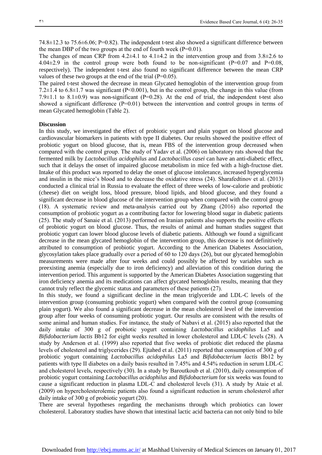74.8±12.3 to 75.6±6.06; P=0.82). The independent t-test also showed a significant difference between the mean DBP of the two groups at the end of fourth week  $(P=0.01)$ .

The changes of mean CRP from  $4.2\pm4.1$  to  $4.1\pm4.2$  in the intervention group and from  $3.8\pm2.6$  to  $4.04\pm2.9$  in the control group were both found to be non-significant (P=0.07 and P=0.08, respectively). The independent t-test also found no significant difference between the mean CRP values of these two groups at the end of the trial (P=0.05).

The paired t-test showed the decrease in mean Glycated hemoglobin of the intervention group from 7.2±1.4 to 6.8±1.7 was significant (P<0.001), but in the control group, the change in this value (from 7.9 $\pm$ 1.1 to 8.1 $\pm$ 0.9) was non-significant (P=0.28). At the end of trial, the independent t-test also showed a significant difference (P=0.01) between the intervention and control groups in terms of mean Glycated hemoglobin (Table 2).

#### **Discussion**

In this study, we investigated the effect of probiotic yogurt and plain yogurt on blood glucose and cardiovascular biomarkers in patients with type II diabetes. Our results showed the positive effect of probiotic yogurt on blood glucose, that is, mean FBS of the intervention group decreased when compared with the control group. The study of Yadav et al. (2006) on laboratory rats showed that the fermented milk by *Lactobacillus acidophilus* and *Lactobacillus casei* can have an anti-diabetic effect, such that it delays the onset of impaired glucose metabolism in mice fed with a high-fructose diet. Intake of this product was reported to delay the onset of glucose intolerance, increased hyperglycemia and insulin in the mice's blood and to decrease the oxidative stress (24). Sharafedtinov et al. (2013) conducted a clinical trial in Russia to evaluate the effect of three weeks of low-calorie and probiotic (cheese) diet on weight loss, blood pressure, blood lipids, and blood glucose, and they found a significant decrease in blood glucose of the intervention group when compared with the control group (18). A systematic review and meta-analysis carried out by Zhang (2016) also reported the consumption of probiotic yogurt as a contributing factor for lowering blood sugar in diabetic patients (25). The study of Sanaie et al. (2013) performed on Iranian patients also supports the positive effects of probiotic yogurt on blood glucose. Thus, the results of animal and human studies suggest that probiotic yogurt can lower blood glucose levels of diabetic patients. Although we found a significant decrease in the mean glycated hemoglobin of the intervention group, this decrease is not definitively attributed to consumption of probiotic yogurt. According to the American Diabetes Association, glycosylation takes place gradually over a period of 60 to 120 days (26), but our glycated hemoglobin measurements were made after four weeks and could possibly be affected by variables such as preexisting anemia (especially due to iron deficiency) and alleviation of this condition during the intervention period. This argument is supported by the American Diabetes Association suggesting that iron deficiency anemia and its medications can affect glycated hemoglobin results, meaning that they cannot truly reflect the glycemic status and parameters of these patients (27).

In this study, we found a significant decline in the mean triglyceride and LDL-C levels of the intervention group (consuming probiotic yogurt) when compared with the control group (consuming plain yogurt). We also found a significant decrease in the mean cholesterol level of the intervention group after four weeks of consuming probiotic yogurt. Our results are consistent with the results of some animal and human studies. For instance, the study of Nabavi et al. (2015) also reported that the daily intake of 300 g of probiotic yogurt containing *Lactobacillus acidophilus* La5 and *Bifidobacterium lactis* Bb12 for eight weeks resulted in lower cholesterol and LDL-C levels (28). A study by Anderson et al. (1999) also reported that five weeks of probiotic diet reduced the plasma levels of cholesterol and triglycerides (29). Ejtahed et al. (2011) reported that consumption of 300 g of probiotic yogurt containing *Lactobacillus acidophilus* La5 and *Bifidobacterium lactis* Bb12 by patients with type II diabetes on a daily basis resulted in 7.45% and 4.54% reduction in serum LDL-C and cholesterol levels, respectively (30). In a study by Baroutkoub et al. (2010), daily consumption of probiotic yogurt containing *Lactobacillus acidophilus* and *Bifidobacterium* for six weeks was found to cause a significant reduction in plasma LDL-C and cholesterol levels (31). A study by Ataie et al. (2009) on hypercholesterolemic patients also found a significant reduction in serum cholesterol after daily intake of 300 g of probiotic yogurt (20).

There are several hypotheses regarding the mechanisms through which probiotics can lower cholesterol. Laboratory studies have shown that intestinal lactic acid bacteria can not only bind to bile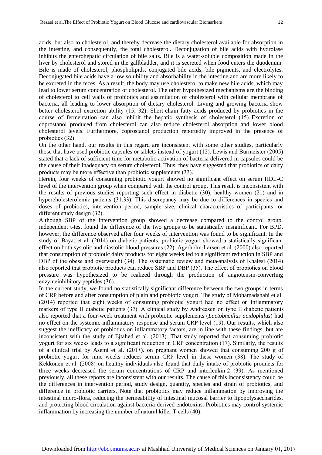I

acids, but also to cholesterol, and thereby decrease the dietary cholesterol available for absorption in the intestine, and consequently, the total cholesterol. Deconjugation of bile acids with hydrolase inhibits the enterohepatic circulation of bile salts. Bile is a water-soluble composition made in the liver by cholesterol and stored in the gallbladder, and it is secreted when food enters the duodenum. Bile is made of cholesterol, phospholipids, conjugated bile acids, bile pigments, and electrolytes. Deconjugated bile acids have a low solubility and absorbability in the intestine and are more likely to be excreted in the feces. As a result, the body may use cholesterol to make new bile acids, which may lead to lower serum concentration of cholesterol. The other hypothesized mechanisms are the binding of cholesterol to cell walls of probiotics and assimilation of cholesterol with cellular membrane of bacteria, all leading to lower absorption of dietary cholesterol. Living and growing bacteria show better cholesterol excretion ability (15, 32). Short-chain fatty acids produced by probiotics in the course of fermentation can also inhibit the hepatic synthesis of cholesterol (15). Excretion of coprostanol produced from cholesterol can also reduce cholesterol absorption and lower blood cholesterol levels. Furthermore, coprostanol production reportedly improved in the presence of

probiotics (32). On the other hand, our results in this regard are inconsistent with some other studies, particularly those that have used probiotic capsules or tablets instead of yogurt (12). Lewis and Burmeister (2005) stated that a lack of sufficient time for metabolic activation of bacteria delivered in capsules could be the cause of their inadequacy on serum cholesterol. Thus, they have suggested that probiotics of dairy products may be more effective than probiotic supplements (33).

Herein, four weeks of consuming probiotic yogurt showed no significant effect on serum HDL-C level of the intervention group when compared with the control group. This result is inconsistent with the results of previous studies reporting such effect in diabetic (30), healthy women (21) and in hypercholesterolemic patients (31,33). This discrepancy may be due to differences in species and doses of probiotics, intervention period, sample size, clinical characteristics of participants, or different study design (32).

Although SBP of the intervention group showed a decrease compared to the control group, independent t-test found the difference of the two groups to be statistically insignificant. For BPD, however, the difference observed after four weeks of intervention was found to be significant. In the study of Bayat et al. (2014) on diabetic patients, probiotic yogurt showed a statistically significant effect on both systolic and diastolic blood pressures (22). Agerholm-Larsen et al. (2000) also reported that consumption of probiotic dairy products for eight weeks led to a significant reduction in SBP and DBP of the obese and overweight (34). The systematic review and meta-analysis of Khalesi (2014) also reported that probiotic products can reduce SBP and DBP (35). The effect of probiotics on blood pressure was hypothesized to be realized through the production of angiotensin-converting enzymeinhibitory peptides (36).

In the current study, we found no statistically significant difference between the two groups in terms of CRP before and after consumption of plain and probiotic yogurt. The study of Mohamadshahi et al. (2014) reported that eight weeks of consuming probiotic yogurt had no effect on inflammatory markers of type II diabetic patients (37). A clinical study by Andreasen on type II diabetic patients also reported that a four-week treatment with probiotic supplements (*Lactobacillus acidophilus*) had no effect on the systemic inflammatory response and serum CRP level (19). Our results, which also suggest the inefficacy of probiotics on inflammatory factors, are in line with these findings, but are inconsistent with the study of Ejtahed et al. (2013). That study reported that consuming probiotic yogurt for six weeks leads to a significant reduction in CRP concentration (17). Similarly, the results of a clinical trial by Asemi et al.  $(201)$ . on pregnant women showed that consuming 200 g of probiotic yogurt for nine weeks reduces serum CRP level in these women (38). The study of Kekkonen et al. (2008) on healthy individuals also found that daily intake of probiotic products for three weeks decreased the serum concentrations of CRP and interleukin-2 (39). As mentioned previously, all these reports are inconsistent with our results. The cause of this inconsistency could be the differences in intervention period, study design, quantity, species and strain of probiotics, and difference in probiotic carriers. Note that probiotics may reduce inflammation by improving the intestinal micro-flora, reducing the permeability of intestinal mucosal barrier to lipopolysaccharides, and protecting blood circulation against bacteria-derived endotoxins. Probiotics may control systemic inflammation by increasing the number of natural killer T cells (40).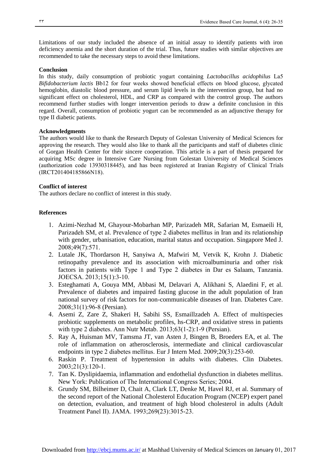Limitations of our study included the absence of an initial assay to identify patients with iron deficiency anemia and the short duration of the trial. Thus, future studies with similar objectives are recommended to take the necessary steps to avoid these limitations.

#### **Conclusion**

In this study, daily consumption of probiotic yogurt containing *Lactobacillus acidophilus* La5 *Bifidobacterium lactis* Bb12 for four weeks showed beneficial effects on blood glucose, glycated hemoglobin, diastolic blood pressure, and serum lipid levels in the intervention group, but had no significant effect on cholesterol, HDL, and CRP as compared with the control group. The authors recommend further studies with longer intervention periods to draw a definite conclusion in this regard. Overall, consumption of probiotic yogurt can be recommended as an adjunctive therapy for type II diabetic patients.

#### **Acknowledgments**

The authors would like to thank the Research Deputy of [Golestan University of Medical Sciences](http://goums.ac.ir/) for approving the research. They would also like to thank all the participants and staff of diabetes clinic of Gorgan Health Center for their sincere cooperation. This article is a part of thesis prepared for acquiring MSc degree in Intensive Care Nursing from Golestan University of Medical Sciences (authorization code 13930318445), and has been registered at Iranian Registry of Clinical Trials (IRCT201404185866N18).

#### **Conflict of interest**

The authors declare no conflict of interest in this study.

#### **References**

- 1. Azimi-Nezhad M, Ghayour-Mobarhan MP, Parizadeh MR, Safarian M, Esmaeili H, Parizadeh SM, et al. Prevalence of type 2 diabetes mellitus in Iran and its relationship with gender, urbanisation, education, marital status and occupation. Singapore Med J. 2008;49(7):571.
- 2. Lutale JK, Thordarson H, Sanyiwa A, Mafwiri M, Vetvik K, Krohn J. Diabetic retinopathy prevalence and its association with microalbuminuria and other risk factors in patients with Type 1 and Type 2 diabetes in Dar es Salaam, Tanzania. JOECSA. 2013;15(1):3-10.
- 3. Esteghamati A, Gouya MM, Abbasi M, Delavari A, Alikhani S, Alaedini F, et al. Prevalence of diabetes and impaired fasting glucose in the adult population of Iran national survey of risk factors for non-communicable diseases of Iran. Diabetes Care. 2008;31(1):96-8 (Persian).
- 4. Asemi Z, Zare Z, Shakeri H, Sabihi SS, Esmaillzadeh A. Effect of multispecies probiotic supplements on metabolic profiles, hs-CRP, and oxidative stress in patients with type 2 diabetes. Ann Nutr Metab. 2013;63(1-2):1-9 (Persian).
- 5. Ray A, Huisman MV, Tamsma JT, van Asten J, Bingen B, Broeders EA, et al. The role of inflammation on atherosclerosis, intermediate and clinical cardiovascular endpoints in type 2 diabetes mellitus. Eur J Intern Med. 2009;20(3):253-60.
- 6. Raskin P. Treatment of hypertension in adults with diabetes. Clin Diabetes. 2003;21(3):120-1.
- 7. Tan K. Dyslipidaemia, inflammation and endothelial dysfunction in diabetes mellitus. New York: Publication of The International Congress Series; 2004.
- 8. Grundy SM, Bilheimer D, Chait A, Clark LT, Denke M, Havel RJ, et al. Summary of the second report of the National Cholesterol Education Program (NCEP) expert panel on detection, evaluation, and treatment of high blood cholesterol in adults (Adult Treatment Panel II). JAMA. 1993;269(23):3015-23.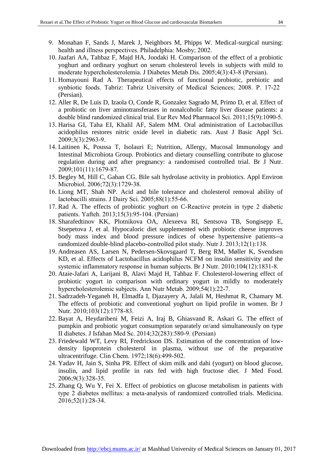I

- 9. Monahan F, Sands J, Marek J, Neighbors M, Phipps W. Medical-surgical nursing: health and illness perspectives. Philadelphia: Mosby; 2002.
- 10. Jaafari AA, Tahbaz F, Majd HA, Joodaki H. Comparison of the effect of a probiotic yoghurt and ordinary yoghurt on serum cholesterol levels in subjects with mild to moderate hypercholesterolemia. J Diabetes Metab Dis. 2005;4(3):43-8 (Persian).
- 11. Homayouni Rad A. Therapeutical effects of functional probiotic, prebiotic and synbiotic foods. Tabriz: Tabriz University of Medical Sciences; 2008. P. 17-22 (Persian).
- 12. Aller R, De Luis D, Izaola O, Conde R, Gonzalez Sagrado M, Primo D, et al. Effect of a probiotic on liver aminotransferases in nonalcoholic fatty liver disease patients: a double blind randomized clinical trial. Eur Rev Med Pharmacol Sci. 2011;15(9):1090-5.
- 13. Harisa GI, Taha EI, Khalil AF, Salem MM. Oral administration of Lactobacillus acidophilus restores nitric oxide level in diabetic rats. Aust J Basic Appl Sci. 2009;3(3):2963-9.
- 14. Laitinen K, Poussa T, Isolauri E; Nutrition, Allergy, Mucosal Immunology and Intestinal Microbiota Group. Probiotics and dietary counselling contribute to glucose regulation during and after pregnancy: a randomised controlled trial. Br J Nutr. 2009;101(11):1679-87.
- 15. Begley M, Hill C, Gahan CG. Bile salt hydrolase activity in probiotics. Appl Environ Microbiol. 2006;72(3):1729-38.
- 16. Liong MT, Shah NP. Acid and bile tolerance and cholesterol removal ability of lactobacilli strains. J Dairy Sci. 2005;88(1):55-66.
- 17. Rad A. The effects of probiotic yoghurt on C-Reactive protein in type 2 diabetic patients. Yafteh. 2013;15(3):95-104. (Persian)
- 18. Sharafedtinov KK, Plotnikova OA, Alexeeva RI, Sentsova TB, Songisepp E, Stsepetova J, et al. Hypocaloric diet supplemented with probiotic cheese improves body mass index and blood pressure indices of obese hypertensive patients--a randomized double-blind placebo-controlled pilot study. Nutr J. 2013;12(1):138.
- 19. Andreasen AS, Larsen N, Pedersen-Skovsgaard T, Berg RM, Møller K, Svendsen KD, et al. Effects of Lactobacillus acidophilus NCFM on insulin sensitivity and the systemic inflammatory response in human subjects. Br J Nutr. 2010;104(12):1831-8.
- 20. Ataie-Jafari A, Larijani B, Alavi Majd H, Tahbaz F. Cholesterol-lowering effect of probiotic yogurt in comparison with ordinary yogurt in mildly to moderately hypercholesterolemic subjects. Ann Nutr Metab. 2009;54(1):22-7.
- 21. Sadrzadeh-Yeganeh H, Elmadfa I, Djazayery A, Jalali M, Heshmat R, Chamary M. The effects of probiotic and conventional yoghurt on lipid profile in women. Br J Nutr. 2010;103(12):1778-83.
- 22. Bayat A, Heydaribeni M, Feizi A, Iraj B, Ghiasvand R, Askari G. The effect of pumpkin and probiotic yogurt consumption separately or/and simultaneously on type II diabetes. J Isfahan Med Sc. 2014;32(283):580-9. (Persian)
- 23. Friedewald WT, Levy RI, Fredrickson DS. Estimation of the concentration of lowdensity lipoprotein cholesterol in plasma, without use of the preparative ultracentrifuge. Clin Chem. 1972;18(6):499-502.
- 24. Yadav H, Jain S, Sinha PR. Effect of skim milk and dahi (yogurt) on blood glucose, insulin, and lipid profile in rats fed with high fructose diet. J Med Food. 2006;9(3):328-35.
- 25. Zhang Q, Wu Y, Fei X. Effect of probiotics on glucose metabolism in patients with type 2 diabetes mellitus: a meta-analysis of randomized controlled trials. Medicina. 2016;52(1):28-34.